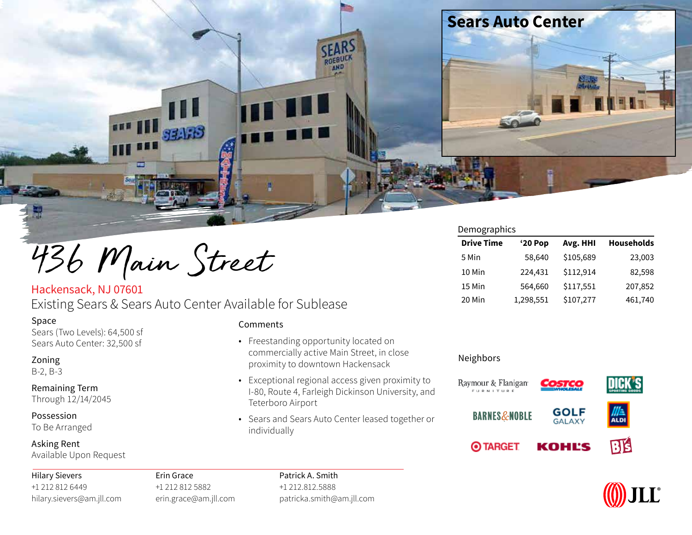

436 Main Street

## Hackensack, NJ 07601 Existing Sears & Sears Auto Center Available for Sublease

#### Space

Sears (Two Levels): 64,500 sf Sears Auto Center: 32,500 sf

Zoning B-2, B-3

# Remaining Term

Through 12/14/2045

Possession To Be Arranged

#### Asking Rent

Available Upon Request

### Comments

- Freestanding opportunity located on commercially active Main Street, in close proximity to downtown Hackensack
- Exceptional regional access given proximity to I-80, Route 4, Farleigh Dickinson University, and Teterboro Airport
- Sears and Sears Auto Center leased together or individually

# **Drive Time '20 Pop Avg. HHI Households** 5 Min 58,640 \$105,689 23,003 10 Min 224,431 \$112,914 82,598 15 Min 564,660 \$117,551 207,852 20 Min 1,298,551 \$107,277 461,740

### Neighbors





Hilary Sievers +1 212 812 6449 hilary.sievers@am.jll.com Erin Grace +1 212 812 5882 erin.grace@am.jll.com

Patrick A. Smith +1 212.812.5888 patricka.smith@am.jll.com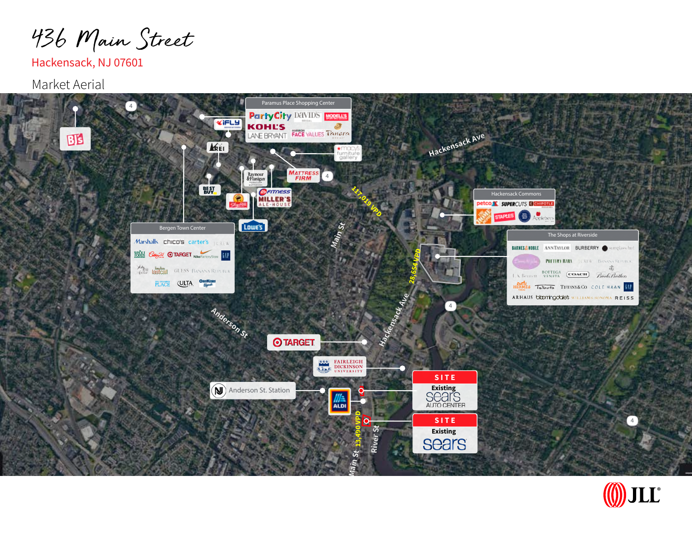436 Main Street

Hackensack, NJ 07601 **Hackensack NJ H**acke

Market Aerial